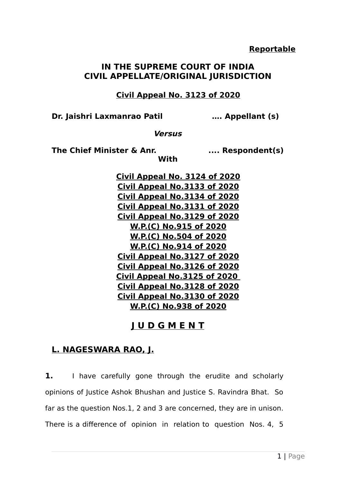## **IN THE SUPREME COURT OF INDIA CIVIL APPELLATE/ORIGINAL JURISDICTION**

 **Civil Appeal No. 3123 of 2020**

**Dr. Jaishri Laxmanrao Patil …. Appellant (s)**

**Versus**

**With**

The Chief Minister & Anr. **.... Respondent(s)** 

**Civil Appeal No. 3124 of 2020 Civil Appeal No .3133 of 2020 Civil Appeal No .3134 of 2020 Civil Appeal No .3131 of 2020 Civil Appeal No .3129 of 2020 W.P.(C) No .915 of 2020 W.P.(C) No .504 of 2020 W.P.(C) No .914 of 2020 Civil Appeal No .3127 of 2020 Civil Appeal No .3126 of 2020 Civil Appeal No .3125 of 2020 Civil Appeal No .3128 of 2020 Civil Appeal No .3130 of 2020 W.P.(C) No .938 of 2020**

## **J U D G M E N T**

## **L. NAGESWARA RAO, J.**

**1.** I have carefully gone through the erudite and scholarly opinions of Justice Ashok Bhushan and Justice S. Ravindra Bhat. So far as the question Nos.1, 2 and 3 are concerned, they are in unison. There is a difference of opinion in relation to question Nos. 4, 5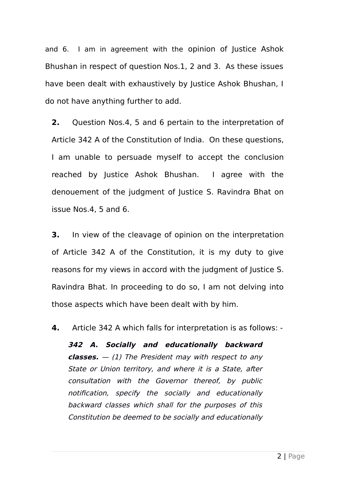and 6. I am in agreement with the opinion of Justice Ashok Bhushan in respect of question Nos.1, 2 and 3. As these issues have been dealt with exhaustively by Justice Ashok Bhushan, I do not have anything further to add.

**2.** Question Nos.4, 5 and 6 pertain to the interpretation of Article 342 A of the Constitution of India. On these questions, I am unable to persuade myself to accept the conclusion reached by Justice Ashok Bhushan. I agree with the denouement of the judgment of Justice S. Ravindra Bhat on issue Nos.4, 5 and 6.

**3.** In view of the cleavage of opinion on the interpretation of Article 342 A of the Constitution, it is my duty to give reasons for my views in accord with the judgment of Justice S. Ravindra Bhat. In proceeding to do so, I am not delving into those aspects which have been dealt with by him.

**4.** Article 342 A which falls for interpretation is as follows: -

**342 A. Socially and educationally backward classes.** — (1) The President may with respect to any State or Union territory, and where it is a State, after consultation with the Governor thereof, by public notification, specify the socially and educationally backward classes which shall for the purposes of this Constitution be deemed to be socially and educationally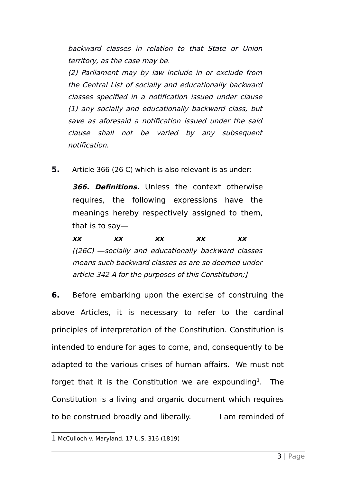backward classes in relation to that State or Union territory, as the case may be.

(2) Parliament may by law include in or exclude from the Central List of socially and educationally backward classes specified in a notification issued under clause (1) any socially and educationally backward class, but save as aforesaid a notification issued under the said clause shall not be varied by any subsequent notification.

**5.** Article 366 (26 C) which is also relevant is as under: -

**366. Definitions.** Unless the context otherwise requires, the following expressions have the meanings hereby respectively assigned to them, that is to say—

**xx xx xx xx xx** [(26C) *―*socially and educationally backward classes means such backward classes as are so deemed under article 342 A for the purposes of this Constitution;]

**6.** Before embarking upon the exercise of construing the above Articles, it is necessary to refer to the cardinal principles of interpretation of the Constitution. Constitution is intended to endure for ages to come, and, consequently to be adapted to the various crises of human affairs. We must not forget that it is the Constitution we are expounding<sup>[1](#page-2-0)</sup>. The Constitution is a living and organic document which requires to be construed broadly and liberally. I am reminded of

<span id="page-2-0"></span><sup>1</sup> McCulloch v. Maryland, 17 U.S. 316 (1819)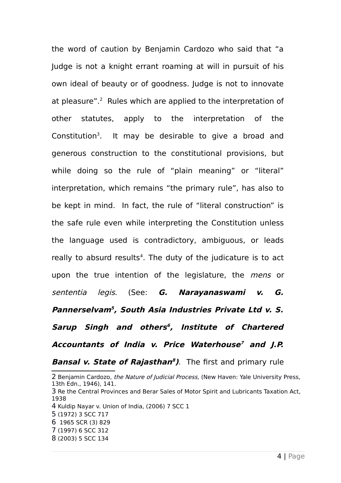the word of caution by Benjamin Cardozo who said that "a Judge is not a knight errant roaming at will in pursuit of his own ideal of beauty or of goodness. Judge is not to innovate at pleasure".<sup>[2](#page-3-0)</sup> Rules which are applied to the interpretation of other statutes, apply to the interpretation of the Constitution<sup>[3](#page-3-1)</sup>. It may be desirable to give a broad and generous construction to the constitutional provisions, but while doing so the rule of "plain meaning" or "literal" interpretation, which remains "the primary rule", has also to be kept in mind. In fact, the rule of "literal construction" is the safe rule even while interpreting the Constitution unless the language used is contradictory, ambiguous, or leads really to absurd results<sup>[4](#page-3-2)</sup>. The duty of the judicature is to act upon the true intention of the legislature, the *mens* or sententia legis. (See: **G. Narayanaswami v. G. Pannerselvam[5](#page-3-3) , South Asia Industries Private Ltd v. S. Sarup Singh and others [6](#page-3-4) , Institute of Chartered Accountants of India v. Price Waterhouse [7](#page-3-5) and J.P. Bansal v. State of Rajasthan [8](#page-3-6) )**. The first and primary rule

- <span id="page-3-2"></span>4 Kuldip Nayar v. Union of India, (2006) 7 SCC 1
- <span id="page-3-3"></span>5 (1972) 3 SCC 717
- <span id="page-3-4"></span>6 1965 SCR (3) 829
- <span id="page-3-5"></span>7 (1997) 6 SCC 312
- <span id="page-3-6"></span>8 (2003) 5 SCC 134

<span id="page-3-0"></span><sup>2</sup> Beniamin Cardozo, the Nature of Judicial Process, (New Haven: Yale University Press, 13th Edn., 1946), 141.

<span id="page-3-1"></span><sup>3</sup> Re the Central Provinces and Berar Sales of Motor Spirit and Lubricants Taxation Act, 1938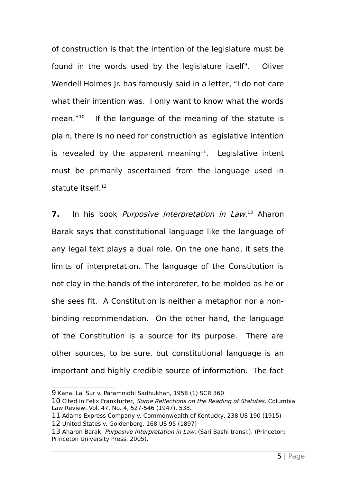of construction is that the intention of the legislature must be found in the words used by the legislature itself<sup>[9](#page-4-0)</sup>. . Oliver Wendell Holmes Jr. has famously said in a letter, "I do not care what their intention was. I only want to know what the words mean. $"^{10}$  $"^{10}$  $"^{10}$  If the language of the meaning of the statute is plain, there is no need for construction as legislative intention is revealed by the apparent meaning<sup>[11](#page-4-2)</sup>. Legislative intent must be primarily ascertained from the language used in statute itself. [12](#page-4-3)

**7.** In his book *Purposive Interpretation in Law*,<sup>[13](#page-4-4)</sup> Aharon Barak says that constitutional language like the language of any legal text plays a dual role. On the one hand, it sets the limits of interpretation. The language of the Constitution is not clay in the hands of the interpreter, to be molded as he or she sees fit. A Constitution is neither a metaphor nor a nonbinding recommendation. On the other hand, the language of the Constitution is a source for its purpose. There are other sources, to be sure, but constitutional language is an important and highly credible source of information. The fact

<span id="page-4-0"></span><sup>9</sup> Kanai Lal Sur v. Paramnidhi Sadhukhan, 1958 (1) SCR 360

<span id="page-4-1"></span><sup>10</sup> Cited in Felix Frankfurter, Some Reflections on the Reading of Statutes, Columbia Law Review, Vol. 47, No. 4, 527-546 (1947), 538.

<span id="page-4-2"></span><sup>11</sup> Adams Express Company v. Commonwealth of Kentucky, 238 US 190 (1915)

<span id="page-4-3"></span><sup>12</sup> United States v. Goldenberg, 168 US 95 (1897)

<span id="page-4-4"></span><sup>13</sup> Aharon Barak, Purposive Interpretation in Law, (Sari Bashi transl.), (Princeton: Princeton University Press, 2005).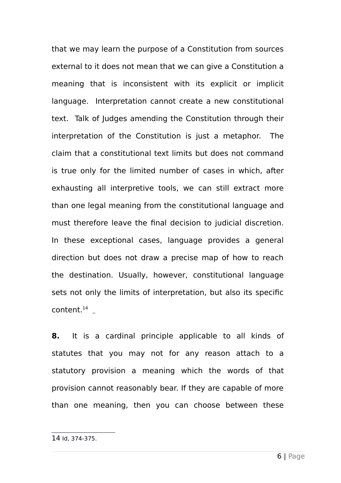that we may learn the purpose of a Constitution from sources external to it does not mean that we can give a Constitution a meaning that is inconsistent with its explicit or implicit language. Interpretation cannot create a new constitutional text. Talk of Judges amending the Constitution through their interpretation of the Constitution is just a metaphor. The claim that a constitutional text limits but does not command is true only for the limited number of cases in which, after exhausting all interpretive tools, we can still extract more than one legal meaning from the constitutional language and must therefore leave the final decision to judicial discretion. In these exceptional cases, language provides a general direction but does not draw a precise map of how to reach the destination. Usually, however, constitutional language sets not only the limits of interpretation, but also its specific content. $^{14}$  $^{14}$  $^{14}$ 

**8.** It is a cardinal principle applicable to all kinds of statutes that you may not for any reason attach to a statutory provision a meaning which the words of that provision cannot reasonably bear. If they are capable of more than one meaning, then you can choose between these

<span id="page-5-0"></span><sup>14</sup> Id, 374-375.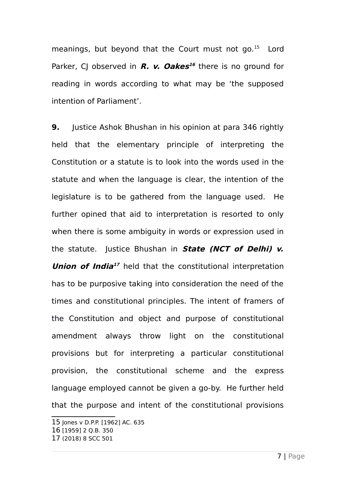meanings, but beyond that the Court must not go.<sup>[15](#page-6-0)</sup> Lord Parker, CJ observed in **R. v. Oakes [16](#page-6-1)** there is no ground for reading in words according to what may be 'the supposed intention of Parliament'.

**9.** Justice Ashok Bhushan in his opinion at para 346 rightly held that the elementary principle of interpreting the Constitution or a statute is to look into the words used in the statute and when the language is clear, the intention of the legislature is to be gathered from the language used. He further opined that aid to interpretation is resorted to only when there is some ambiguity in words or expression used in the statute. Justice Bhushan in **State (NCT of Delhi) v. Union of India [17](#page-6-2)** held that the constitutional interpretation has to be purposive taking into consideration the need of the times and constitutional principles. The intent of framers of the Constitution and object and purpose of constitutional amendment always throw light on the constitutional provisions but for interpreting a particular constitutional provision, the constitutional scheme and the express language employed cannot be given a go-by. He further held that the purpose and intent of the constitutional provisions

<span id="page-6-0"></span><sup>15</sup> Jones v D.P.P. [1962] AC. 635

<span id="page-6-1"></span><sup>16</sup> [1959] 2 Q.B. 350

<span id="page-6-2"></span><sup>17</sup> (2018) 8 SCC 501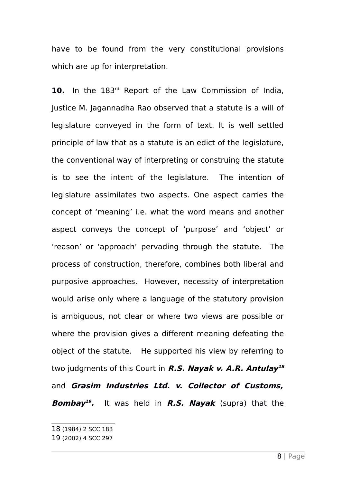have to be found from the very constitutional provisions which are up for interpretation.

**10.** In the 183rd Report of the Law Commission of India, Justice M. Jagannadha Rao observed that a statute is a will of legislature conveyed in the form of text. It is well settled principle of law that as a statute is an edict of the legislature, the conventional way of interpreting or construing the statute is to see the intent of the legislature. The intention of legislature assimilates two aspects. One aspect carries the concept of 'meaning' i.e. what the word means and another aspect conveys the concept of 'purpose' and 'object' or 'reason' or 'approach' pervading through the statute. The process of construction, therefore, combines both liberal and purposive approaches. However, necessity of interpretation would arise only where a language of the statutory provision is ambiguous, not clear or where two views are possible or where the provision gives a different meaning defeating the object of the statute. He supported his view by referring to two judgments of this Court in **R.S. Nayak v. A.R. Antulay [18](#page-7-0)** and **Grasim Industries Ltd. v. Collector of Customs, Bombay [19](#page-7-1) .** It was held in **R.S. Nayak** (supra) that the

<span id="page-7-0"></span><sup>18</sup> (1984) 2 SCC 183

<span id="page-7-1"></span><sup>19</sup> (2002) 4 SCC 297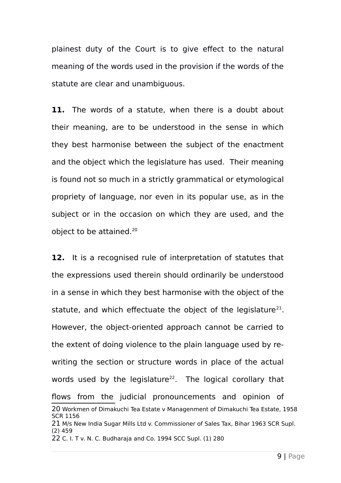plainest duty of the Court is to give effect to the natural meaning of the words used in the provision if the words of the statute are clear and unambiguous.

**11.** The words of a statute, when there is a doubt about their meaning, are to be understood in the sense in which they best harmonise between the subject of the enactment and the object which the legislature has used. Their meaning is found not so much in a strictly grammatical or etymological propriety of language, nor even in its popular use, as in the subject or in the occasion on which they are used, and the object to be attained.[20](#page-8-0)

**12.** It is a recognised rule of interpretation of statutes that the expressions used therein should ordinarily be understood in a sense in which they best harmonise with the object of the statute, and which effectuate the object of the legislature $^{21}$  $^{21}$  $^{21}$ . However, the object-oriented approach cannot be carried to the extent of doing violence to the plain language used by rewriting the section or structure words in place of the actual words used by the legislature<sup>[22](#page-8-2)</sup>. The logical corollary that flows from the judicial pronouncements and opinion of 20 Workmen of Dimakuchi Tea Estate v Managenment of Dimakuchi Tea Estate, 1958 SCR 1156 21 M/s New India Sugar Mills Ltd v. Commissioner of Sales Tax, Bihar 1963 SCR Supl. (2) 459

<span id="page-8-2"></span><span id="page-8-1"></span><span id="page-8-0"></span>22 C. I. T v. N. C. Budharaja and Co. 1994 SCC Supl. (1) 280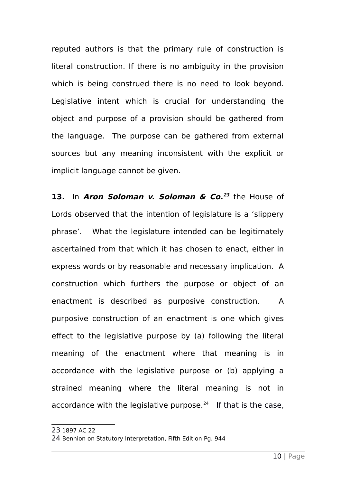reputed authors is that the primary rule of construction is literal construction. If there is no ambiguity in the provision which is being construed there is no need to look beyond. Legislative intent which is crucial for understanding the object and purpose of a provision should be gathered from the language. The purpose can be gathered from external sources but any meaning inconsistent with the explicit or implicit language cannot be given.

**13.** In **Aron Soloman v. Soloman & Co. [23](#page-9-0)** the House of Lords observed that the intention of legislature is a 'slippery phrase'. What the legislature intended can be legitimately ascertained from that which it has chosen to enact, either in express words or by reasonable and necessary implication. A construction which furthers the purpose or object of an enactment is described as purposive construction. A purposive construction of an enactment is one which gives effect to the legislative purpose by (a) following the literal meaning of the enactment where that meaning is in accordance with the legislative purpose or (b) applying a strained meaning where the literal meaning is not in accordance with the legislative purpose. $24$  If that is the case,

<span id="page-9-0"></span>23 1897 AC 22

<span id="page-9-1"></span><sup>24</sup> Bennion on Statutory Interpretation, Fifth Edition Pg. 944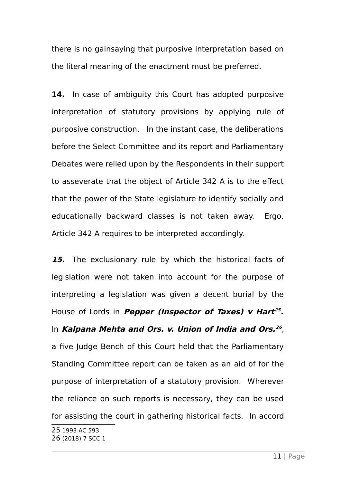there is no gainsaying that purposive interpretation based on the literal meaning of the enactment must be preferred.

**14.** In case of ambiguity this Court has adopted purposive interpretation of statutory provisions by applying rule of purposive construction. In the instant case, the deliberations before the Select Committee and its report and Parliamentary Debates were relied upon by the Respondents in their support to asseverate that the object of Article 342 A is to the effect that the power of the State legislature to identify socially and educationally backward classes is not taken away. Ergo, Article 342 A requires to be interpreted accordingly.

**15.** The exclusionary rule by which the historical facts of legislation were not taken into account for the purpose of interpreting a legislation was given a decent burial by the House of Lords in **Pepper (Inspector of Taxes) v Hart [25](#page-10-0) .** In **Kalpana Mehta and Ors. v. Union of India and Ors. [26](#page-10-1)** , a five Judge Bench of this Court held that the Parliamentary Standing Committee report can be taken as an aid of for the purpose of interpretation of a statutory provision. Wherever the reliance on such reports is necessary, they can be used for assisting the court in gathering historical facts. In accord

<span id="page-10-1"></span><span id="page-10-0"></span><sup>25</sup> 1993 AC 593 26 (2018) 7 SCC 1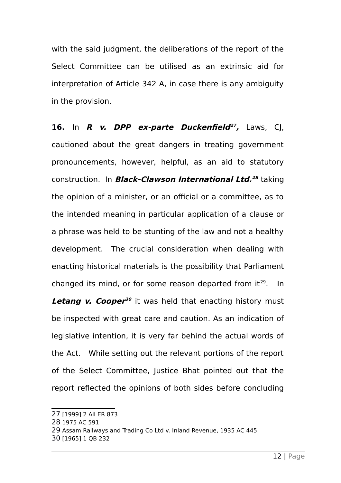with the said judgment, the deliberations of the report of the Select Committee can be utilised as an extrinsic aid for interpretation of Article 342 A, in case there is any ambiguity in the provision.

**16.** In **R v. DPP ex-parte Duckenfield [27](#page-11-0) ,** Laws, CJ, cautioned about the great dangers in treating government pronouncements, however, helpful, as an aid to statutory construction. In **Black-Clawson International Ltd. [28](#page-11-1)** taking the opinion of a minister, or an official or a committee, as to the intended meaning in particular application of a clause or a phrase was held to be stunting of the law and not a healthy development. The crucial consideration when dealing with enacting historical materials is the possibility that Parliament changed its mind, or for some reason departed from  $it^{29}$  $it^{29}$  $it^{29}$ . In **Letang v. Cooper<sup>[30](#page-11-3)</sup>** it was held that enacting history must be inspected with great care and caution. As an indication of legislative intention, it is very far behind the actual words of the Act. While setting out the relevant portions of the report of the Select Committee, Justice Bhat pointed out that the report reflected the opinions of both sides before concluding

<span id="page-11-0"></span><sup>27</sup> [1999] 2 All ER 873

<span id="page-11-1"></span><sup>28</sup> 1975 AC 591

<span id="page-11-2"></span><sup>29</sup> Assam Railways and Trading Co Ltd v. Inland Revenue, 1935 AC 445

<span id="page-11-3"></span><sup>30</sup> [1965] 1 QB 232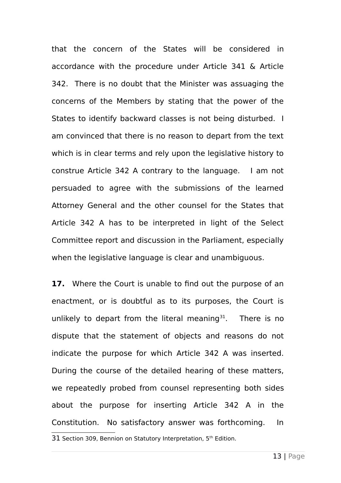that the concern of the States will be considered in accordance with the procedure under Article 341 & Article 342. There is no doubt that the Minister was assuaging the concerns of the Members by stating that the power of the States to identify backward classes is not being disturbed. I am convinced that there is no reason to depart from the text which is in clear terms and rely upon the legislative history to construe Article 342 A contrary to the language. I am not persuaded to agree with the submissions of the learned Attorney General and the other counsel for the States that Article 342 A has to be interpreted in light of the Select Committee report and discussion in the Parliament, especially when the legislative language is clear and unambiguous.

**17.** Where the Court is unable to find out the purpose of an enactment, or is doubtful as to its purposes, the Court is unlikely to depart from the literal meaning<sup>[31](#page-12-0)</sup>. There is no dispute that the statement of objects and reasons do not indicate the purpose for which Article 342 A was inserted. During the course of the detailed hearing of these matters, we repeatedly probed from counsel representing both sides about the purpose for inserting Article 342 A in the Constitution. No satisfactory answer was forthcoming. In

<span id="page-12-0"></span><sup>31</sup> Section 309, Bennion on Statutory Interpretation, 5<sup>th</sup> Edition.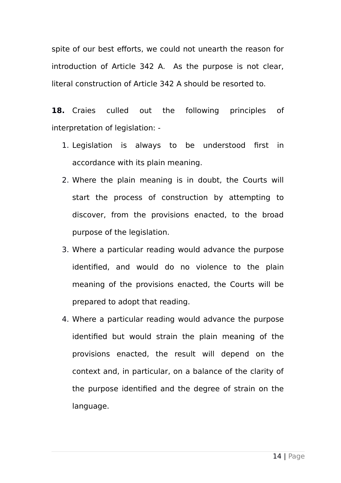spite of our best efforts, we could not unearth the reason for introduction of Article 342 A. As the purpose is not clear, literal construction of Article 342 A should be resorted to.

**18.** Craies culled out the following principles of interpretation of legislation: -

- 1. Legislation is always to be understood first in accordance with its plain meaning.
- 2. Where the plain meaning is in doubt, the Courts will start the process of construction by attempting to discover, from the provisions enacted, to the broad purpose of the legislation.
- 3. Where a particular reading would advance the purpose identified, and would do no violence to the plain meaning of the provisions enacted, the Courts will be prepared to adopt that reading.
- 4. Where a particular reading would advance the purpose identified but would strain the plain meaning of the provisions enacted, the result will depend on the context and, in particular, on a balance of the clarity of the purpose identified and the degree of strain on the language.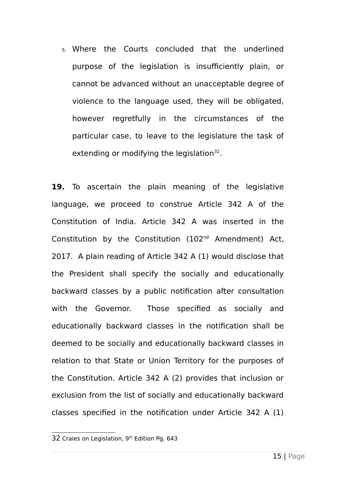5. Where the Courts concluded that the underlined purpose of the legislation is insufficiently plain, or cannot be advanced without an unacceptable degree of violence to the language used, they will be obligated, however regretfully in the circumstances of the particular case, to leave to the legislature the task of extending or modifying the legislation $32$ .

**19.** To ascertain the plain meaning of the legislative language, we proceed to construe Article 342 A of the Constitution of India. Article 342 A was inserted in the Constitution by the Constitution (102nd Amendment) Act, 2017. A plain reading of Article 342 A (1) would disclose that the President shall specify the socially and educationally backward classes by a public notification after consultation with the Governor. Those specified as socially and educationally backward classes in the notification shall be deemed to be socially and educationally backward classes in relation to that State or Union Territory for the purposes of the Constitution. Article 342 A (2) provides that inclusion or exclusion from the list of socially and educationally backward classes specified in the notification under Article 342 A (1)

<span id="page-14-0"></span><sup>32</sup> Craies on Legislation, 9<sup>th</sup> Edition Pg. 643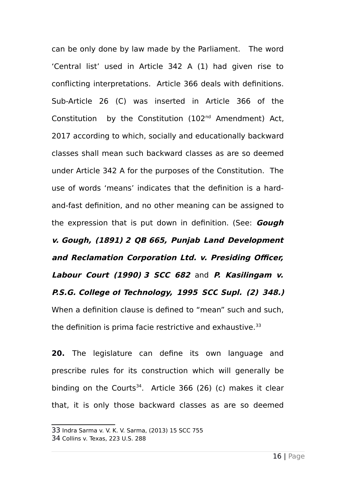can be only done by law made by the Parliament. The word 'Central list' used in Article 342 A (1) had given rise to conflicting interpretations. Article 366 deals with definitions. Sub-Article 26 (C) was inserted in Article 366 of the Constitution by the Constitution (102nd Amendment) Act, 2017 according to which, socially and educationally backward classes shall mean such backward classes as are so deemed under Article 342 A for the purposes of the Constitution. The use of words 'means' indicates that the definition is a hardand-fast definition, and no other meaning can be assigned to the expression that is put down in definition. (See: **Gough v. Gough, (1891) 2 QB 665, Punjab Land Development and Reclamation Corporation Ltd. v. Presiding Officer, Labour Court (1990) 3 SCC 682** and **P. Kasilingam v. P.S.G. College of Technology, 1995 SCC Supl. (2) 348.)** When a definition clause is defined to "mean" such and such, the definition is prima facie restrictive and exhaustive.<sup>[33](#page-15-0)</sup>

**20.** The legislature can define its own language and prescribe rules for its construction which will generally be binding on the Courts<sup>[34](#page-15-1)</sup>. Article 366 (26) (c) makes it clear that, it is only those backward classes as are so deemed

<span id="page-15-0"></span><sup>33</sup> Indra Sarma v. V. K. V. Sarma, (2013) 15 SCC 755

<span id="page-15-1"></span><sup>34</sup> Collins v. Texas, 223 U.S. 288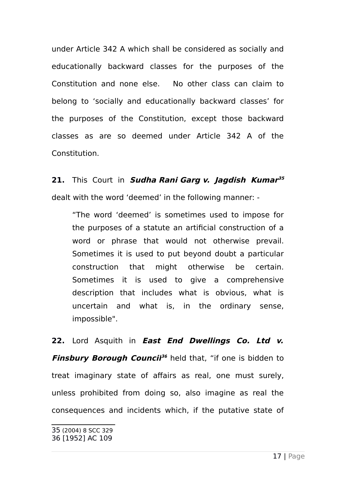under Article 342 A which shall be considered as socially and educationally backward classes for the purposes of the Constitution and none else. No other class can claim to belong to 'socially and educationally backward classes' for the purposes of the Constitution, except those backward classes as are so deemed under Article 342 A of the Constitution.

**21.** This Court in **Sudha Rani Garg v. Jagdish Kumar [35](#page-16-0)** dealt with the word 'deemed' in the following manner: -

"The word 'deemed' is sometimes used to impose for the purposes of a statute an artificial construction of a word or phrase that would not otherwise prevail. Sometimes it is used to put beyond doubt a particular construction that might otherwise be certain. Sometimes it is used to give a comprehensive description that includes what is obvious, what is uncertain and what is, in the ordinary sense, impossible".

**22.** Lord Asquith in **East End Dwellings Co. Ltd v. Finsbury Borough Council [36](#page-16-1)** held that, "if one is bidden to treat imaginary state of affairs as real, one must surely, unless prohibited from doing so, also imagine as real the consequences and incidents which, if the putative state of

<span id="page-16-1"></span><span id="page-16-0"></span><sup>35</sup> (2004) 8 SCC 329 36 [1952] AC 109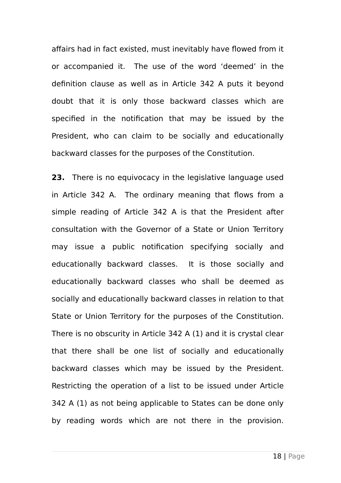affairs had in fact existed, must inevitably have flowed from it or accompanied it. The use of the word 'deemed' in the definition clause as well as in Article 342 A puts it beyond doubt that it is only those backward classes which are specified in the notification that may be issued by the President, who can claim to be socially and educationally backward classes for the purposes of the Constitution.

**23.** There is no equivocacy in the legislative language used in Article 342 A. The ordinary meaning that flows from a simple reading of Article 342 A is that the President after consultation with the Governor of a State or Union Territory may issue a public notification specifying socially and educationally backward classes. It is those socially and educationally backward classes who shall be deemed as socially and educationally backward classes in relation to that State or Union Territory for the purposes of the Constitution. There is no obscurity in Article 342 A (1) and it is crystal clear that there shall be one list of socially and educationally backward classes which may be issued by the President. Restricting the operation of a list to be issued under Article 342 A (1) as not being applicable to States can be done only by reading words which are not there in the provision.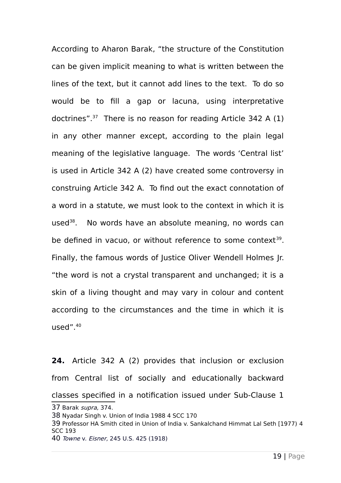According to Aharon Barak, "the structure of the Constitution can be given implicit meaning to what is written between the lines of the text, but it cannot add lines to the text. To do so would be to fill a gap or lacuna, using interpretative doctrines". [37](#page-18-0) There is no reason for reading Article 342 A (1) in any other manner except, according to the plain legal meaning of the legislative language. The words 'Central list' is used in Article 342 A (2) have created some controversy in construing Article 342 A. To find out the exact connotation of a word in a statute, we must look to the context in which it is used<sup>[38](#page-18-1)</sup>. No words have an absolute meaning, no words can be defined in vacuo, or without reference to some context<sup>[39](#page-18-2)</sup>. Finally, the famous words of Justice Oliver Wendell Holmes Jr. "the word is not a crystal transparent and unchanged; it is a skin of a living thought and may vary in colour and content according to the circumstances and the time in which it is used". [40](#page-18-3)

**24.** Article 342 A (2) provides that inclusion or exclusion from Central list of socially and educationally backward classes specified in a notification issued under Sub-Clause 1 37 Barak supra, 374. 38 Nyadar Singh v. Union of India 1988 4 SCC 170

- <span id="page-18-2"></span><span id="page-18-1"></span><span id="page-18-0"></span>39 Professor HA Smith cited in Union of India v. Sankalchand Himmat Lal Seth [1977) 4 SCC 193
- <span id="page-18-3"></span>40 Towne v. Eisner, 245 U.S. 425 (1918)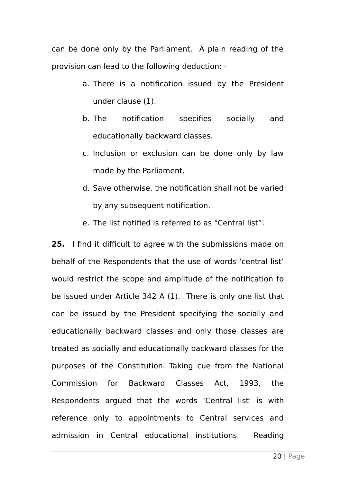can be done only by the Parliament. A plain reading of the provision can lead to the following deduction: -

- a. There is a notification issued by the President under clause (1).
- b. The notification specifies socially and educationally backward classes.
- c. Inclusion or exclusion can be done only by law made by the Parliament.
- d. Save otherwise, the notification shall not be varied by any subsequent notification.
- e. The list notified is referred to as "Central list".

**25.** I find it difficult to agree with the submissions made on behalf of the Respondents that the use of words 'central list' would restrict the scope and amplitude of the notification to be issued under Article 342 A (1). There is only one list that can be issued by the President specifying the socially and educationally backward classes and only those classes are treated as socially and educationally backward classes for the purposes of the Constitution. Taking cue from the National Commission for Backward Classes Act, 1993, the Respondents argued that the words 'Central list' is with reference only to appointments to Central services and admission in Central educational institutions. Reading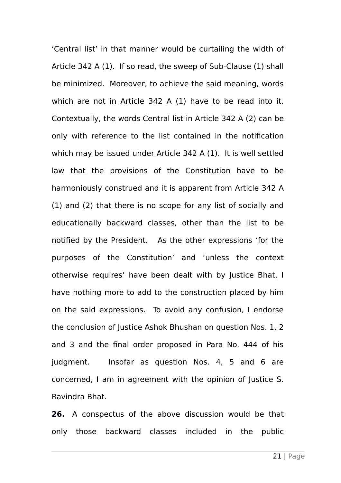'Central list' in that manner would be curtailing the width of Article 342 A (1). If so read, the sweep of Sub-Clause (1) shall be minimized. Moreover, to achieve the said meaning, words which are not in Article 342 A (1) have to be read into it. Contextually, the words Central list in Article 342 A (2) can be only with reference to the list contained in the notification which may be issued under Article 342 A (1). It is well settled law that the provisions of the Constitution have to be harmoniously construed and it is apparent from Article 342 A (1) and (2) that there is no scope for any list of socially and educationally backward classes, other than the list to be notified by the President. As the other expressions 'for the purposes of the Constitution' and 'unless the context otherwise requires' have been dealt with by Justice Bhat, I have nothing more to add to the construction placed by him on the said expressions. To avoid any confusion, I endorse the conclusion of Justice Ashok Bhushan on question Nos. 1, 2 and 3 and the final order proposed in Para No. 444 of his judgment. Insofar as question Nos. 4, 5 and 6 are concerned, I am in agreement with the opinion of Justice S. Ravindra Bhat.

**26.** A conspectus of the above discussion would be that only those backward classes included in the public